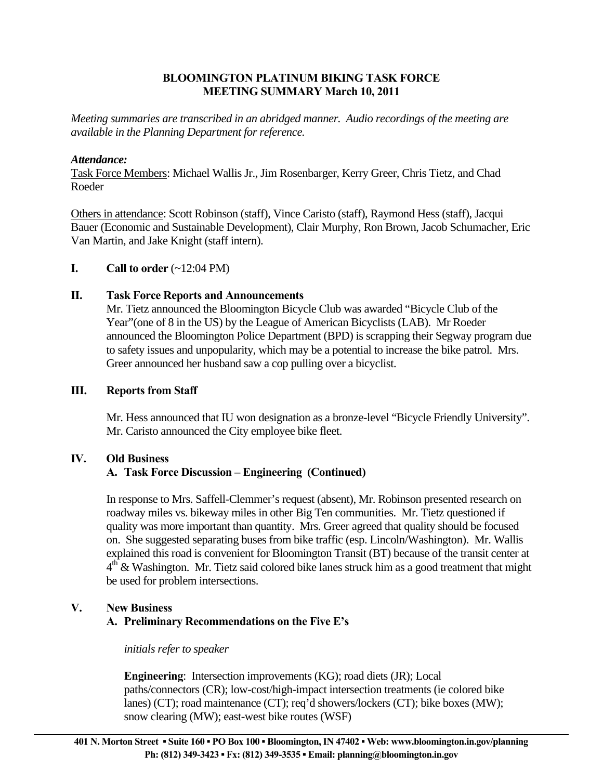### **BLOOMINGTON PLATINUM BIKING TASK FORCE MEETING SUMMARY March 10, 2011**

*Meeting summaries are transcribed in an abridged manner. Audio recordings of the meeting are available in the Planning Department for reference.* 

### *Attendance:*

Task Force Members: Michael Wallis Jr., Jim Rosenbarger, Kerry Greer, Chris Tietz, and Chad Roeder

Others in attendance: Scott Robinson (staff), Vince Caristo (staff), Raymond Hess (staff), Jacqui Bauer (Economic and Sustainable Development), Clair Murphy, Ron Brown, Jacob Schumacher, Eric Van Martin, and Jake Knight (staff intern).

#### **I.** Call to order  $(\sim 12:04 \text{ PM})$

# **II. Task Force Reports and Announcements**

 Mr. Tietz announced the Bloomington Bicycle Club was awarded "Bicycle Club of the Year"(one of 8 in the US) by the League of American Bicyclists (LAB). Mr Roeder announced the Bloomington Police Department (BPD) is scrapping their Segway program due to safety issues and unpopularity, which may be a potential to increase the bike patrol. Mrs. Greer announced her husband saw a cop pulling over a bicyclist.

#### **III. Reports from Staff**

 Mr. Hess announced that IU won designation as a bronze-level "Bicycle Friendly University". Mr. Caristo announced the City employee bike fleet.

#### **IV. Old Business**

# **A. Task Force Discussion – Engineering (Continued)**

 In response to Mrs. Saffell-Clemmer's request (absent), Mr. Robinson presented research on roadway miles vs. bikeway miles in other Big Ten communities. Mr. Tietz questioned if quality was more important than quantity. Mrs. Greer agreed that quality should be focused on. She suggested separating buses from bike traffic (esp. Lincoln/Washington). Mr. Wallis explained this road is convenient for Bloomington Transit (BT) because of the transit center at  $4<sup>th</sup>$  & Washington. Mr. Tietz said colored bike lanes struck him as a good treatment that might be used for problem intersections.

# **V. New Business**

# **A. Preliminary Recommendations on the Five E's**

*initials refer to speaker* 

**Engineering:** Intersection improvements (KG); road diets (JR); Local paths/connectors (CR); low-cost/high-impact intersection treatments (ie colored bike lanes) (CT); road maintenance (CT); req'd showers/lockers (CT); bike boxes (MW); snow clearing (MW); east-west bike routes (WSF)